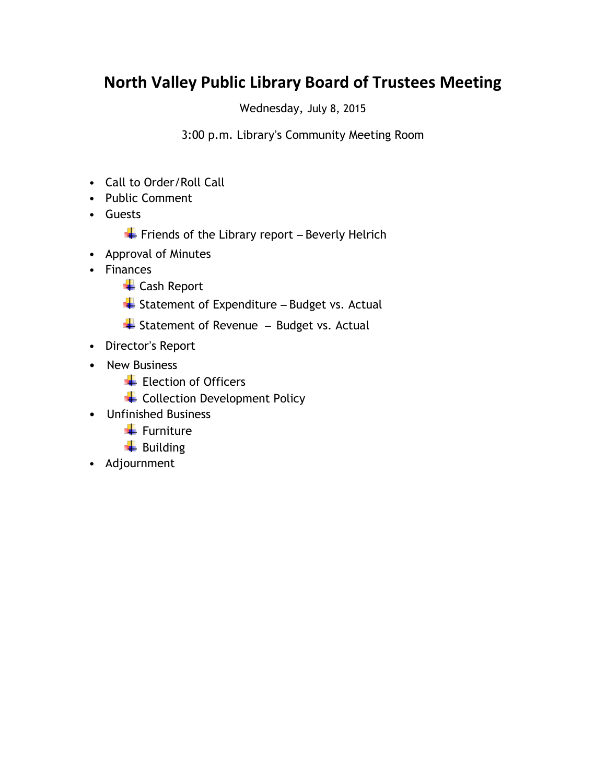## **North Valley Public Library Board of Trustees Meeting**

Wednesday, July 8, 2015

3:00 p.m. Library's Community Meeting Room

- Call to Order/Roll Call
- Public Comment
- Guests
	- $\overline{\textbf{F}}$  Friends of the Library report Beverly Helrich
- Approval of Minutes
- Finances
	- ← Cash Report
	- $\overline{\phantom{a}}$  Statement of Expenditure Budget vs. Actual
	- $\triangleq$  Statement of Revenue Budget vs. Actual
- Director's Report
- New Business
	- Election of Officers
	- + Collection Development Policy
- Unfinished Business
	- $\ddot{\bullet}$  Furniture
	- $\biguparrow$  Building
- Adjournment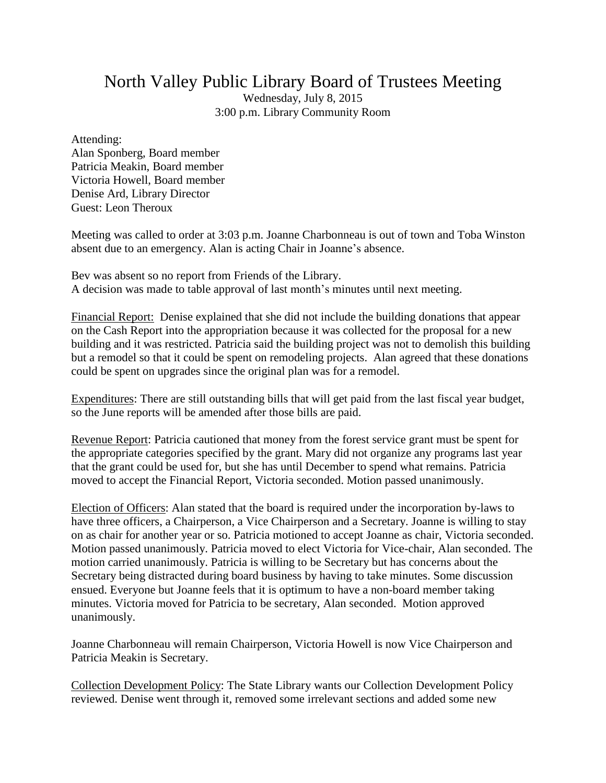## North Valley Public Library Board of Trustees Meeting

Wednesday, July 8, 2015 3:00 p.m. Library Community Room

Attending:

Alan Sponberg, Board member Patricia Meakin, Board member Victoria Howell, Board member Denise Ard, Library Director Guest: Leon Theroux

Meeting was called to order at 3:03 p.m. Joanne Charbonneau is out of town and Toba Winston absent due to an emergency. Alan is acting Chair in Joanne's absence.

Bev was absent so no report from Friends of the Library. A decision was made to table approval of last month's minutes until next meeting.

Financial Report: Denise explained that she did not include the building donations that appear on the Cash Report into the appropriation because it was collected for the proposal for a new building and it was restricted. Patricia said the building project was not to demolish this building but a remodel so that it could be spent on remodeling projects. Alan agreed that these donations could be spent on upgrades since the original plan was for a remodel.

Expenditures: There are still outstanding bills that will get paid from the last fiscal year budget, so the June reports will be amended after those bills are paid.

Revenue Report: Patricia cautioned that money from the forest service grant must be spent for the appropriate categories specified by the grant. Mary did not organize any programs last year that the grant could be used for, but she has until December to spend what remains. Patricia moved to accept the Financial Report, Victoria seconded. Motion passed unanimously.

Election of Officers: Alan stated that the board is required under the incorporation by-laws to have three officers, a Chairperson, a Vice Chairperson and a Secretary. Joanne is willing to stay on as chair for another year or so. Patricia motioned to accept Joanne as chair, Victoria seconded. Motion passed unanimously. Patricia moved to elect Victoria for Vice-chair, Alan seconded. The motion carried unanimously. Patricia is willing to be Secretary but has concerns about the Secretary being distracted during board business by having to take minutes. Some discussion ensued. Everyone but Joanne feels that it is optimum to have a non-board member taking minutes. Victoria moved for Patricia to be secretary, Alan seconded. Motion approved unanimously.

Joanne Charbonneau will remain Chairperson, Victoria Howell is now Vice Chairperson and Patricia Meakin is Secretary.

Collection Development Policy: The State Library wants our Collection Development Policy reviewed. Denise went through it, removed some irrelevant sections and added some new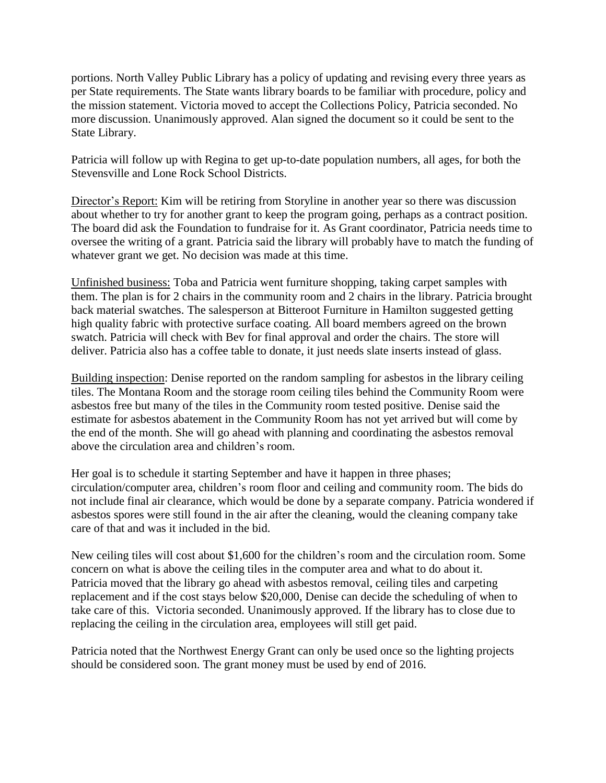portions. North Valley Public Library has a policy of updating and revising every three years as per State requirements. The State wants library boards to be familiar with procedure, policy and the mission statement. Victoria moved to accept the Collections Policy, Patricia seconded. No more discussion. Unanimously approved. Alan signed the document so it could be sent to the State Library.

Patricia will follow up with Regina to get up-to-date population numbers, all ages, for both the Stevensville and Lone Rock School Districts.

Director's Report: Kim will be retiring from Storyline in another year so there was discussion about whether to try for another grant to keep the program going, perhaps as a contract position. The board did ask the Foundation to fundraise for it. As Grant coordinator, Patricia needs time to oversee the writing of a grant. Patricia said the library will probably have to match the funding of whatever grant we get. No decision was made at this time.

Unfinished business: Toba and Patricia went furniture shopping, taking carpet samples with them. The plan is for 2 chairs in the community room and 2 chairs in the library. Patricia brought back material swatches. The salesperson at Bitteroot Furniture in Hamilton suggested getting high quality fabric with protective surface coating. All board members agreed on the brown swatch. Patricia will check with Bev for final approval and order the chairs. The store will deliver. Patricia also has a coffee table to donate, it just needs slate inserts instead of glass.

Building inspection: Denise reported on the random sampling for asbestos in the library ceiling tiles. The Montana Room and the storage room ceiling tiles behind the Community Room were asbestos free but many of the tiles in the Community room tested positive. Denise said the estimate for asbestos abatement in the Community Room has not yet arrived but will come by the end of the month. She will go ahead with planning and coordinating the asbestos removal above the circulation area and children's room.

Her goal is to schedule it starting September and have it happen in three phases; circulation/computer area, children's room floor and ceiling and community room. The bids do not include final air clearance, which would be done by a separate company. Patricia wondered if asbestos spores were still found in the air after the cleaning, would the cleaning company take care of that and was it included in the bid.

New ceiling tiles will cost about \$1,600 for the children's room and the circulation room. Some concern on what is above the ceiling tiles in the computer area and what to do about it. Patricia moved that the library go ahead with asbestos removal, ceiling tiles and carpeting replacement and if the cost stays below \$20,000, Denise can decide the scheduling of when to take care of this. Victoria seconded. Unanimously approved. If the library has to close due to replacing the ceiling in the circulation area, employees will still get paid.

Patricia noted that the Northwest Energy Grant can only be used once so the lighting projects should be considered soon. The grant money must be used by end of 2016.